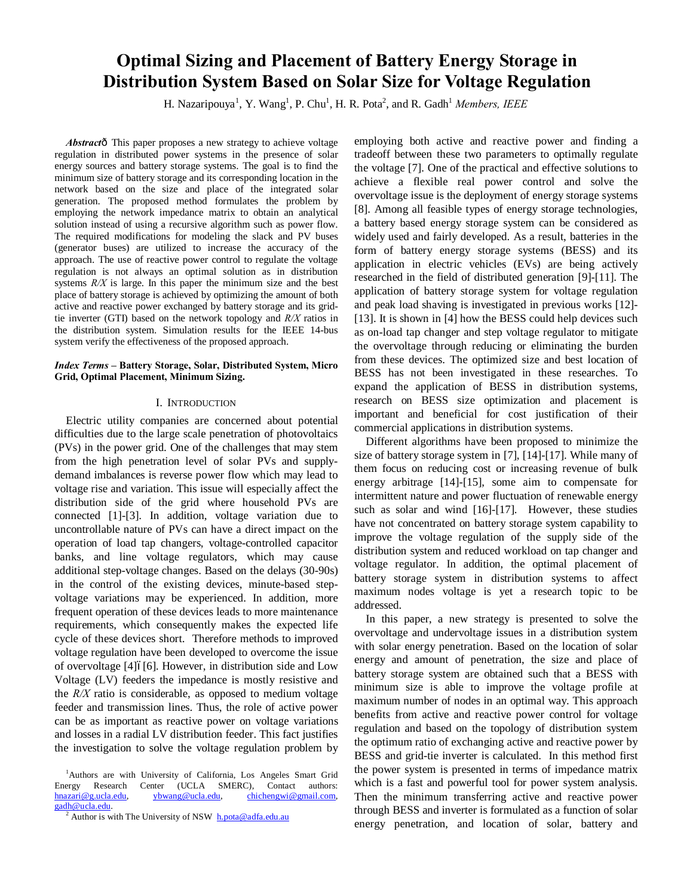# **Optimal Sizing and Placement of Battery Energy Storage in Distribution System Based on Solar Size for Voltage Regulation**

H. Nazaripouya<sup>1</sup>, Y. Wang<sup>1</sup>, P. Chu<sup>1</sup>, H. R. Pota<sup>2</sup>, and R. Gadh<sup>1</sup> Members, IEEE

Abstractô This paper proposes a new strategy to achieve voltage regulation in distributed power systems in the presence of solar energy sources and battery storage systems. The goal is to find the minimum size of battery storage and its corresponding location in the network based on the size and place of the integrated solar generation. The proposed method formulates the problem by employing the network impedance matrix to obtain an analytical solution instead of using a recursive algorithm such as power flow. The required modifications for modeling the slack and PV buses (generator buses) are utilized to increase the accuracy of the approach. The use of reactive power control to regulate the voltage regulation is not always an optimal solution as in distribution systems *R/X* is large. In this paper the minimum size and the best place of battery storage is achieved by optimizing the amount of both active and reactive power exchanged by battery storage and its gridtie inverter (GTI) based on the network topology and *R/X* ratios in the distribution system. Simulation results for the IEEE 14-bus system verify the effectiveness of the proposed approach.

## *Index Terms* **– Battery Storage, Solar, Distributed System, Micro Grid, Optimal Placement, Minimum Sizing.**

## I. INTRODUCTION

Electric utility companies are concerned about potential difficulties due to the large scale penetration of photovoltaics (PVs) in the power grid. One of the challenges that may stem from the high penetration level of solar PVs and supplydemand imbalances is reverse power flow which may lead to voltage rise and variation. This issue will especially affect the distribution side of the grid where household PVs are connected [1]-[3]. In addition, voltage variation due to uncontrollable nature of PVs can have a direct impact on the operation of load tap changers, voltage-controlled capacitor banks, and line voltage regulators, which may cause additional step-voltage changes. Based on the delays (30-90s) in the control of the existing devices, minute-based stepvoltage variations may be experienced. In addition, more frequent operation of these devices leads to more maintenance requirements, which consequently makes the expected life cycle of these devices short. Therefore methods to improved voltage regulation have been developed to overcome the issue of overvoltage [4] $6$ [6]. However, in distribution side and Low Voltage (LV) feeders the impedance is mostly resistive and the *R/X* ratio is considerable, as opposed to medium voltage feeder and transmission lines. Thus, the role of active power can be as important as reactive power on voltage variations and losses in a radial LV distribution feeder. This fact justifies the investigation to solve the voltage regulation problem by employing both active and reactive power and finding a tradeoff between these two parameters to optimally regulate the voltage [7]. One of the practical and effective solutions to achieve a flexible real power control and solve the overvoltage issue is the deployment of energy storage systems [8]. Among all feasible types of energy storage technologies, a battery based energy storage system can be considered as widely used and fairly developed. As a result, batteries in the form of battery energy storage systems (BESS) and its application in electric vehicles (EVs) are being actively researched in the field of distributed generation [9]-[11]. The application of battery storage system for voltage regulation and peak load shaving is investigated in previous works [12]- [13]. It is shown in [4] how the BESS could help devices such as on-load tap changer and step voltage regulator to mitigate the overvoltage through reducing or eliminating the burden from these devices. The optimized size and best location of BESS has not been investigated in these researches. To expand the application of BESS in distribution systems, research on BESS size optimization and placement is important and beneficial for cost justification of their commercial applications in distribution systems.

Different algorithms have been proposed to minimize the size of battery storage system in [7], [14]-[17]. While many of them focus on reducing cost or increasing revenue of bulk energy arbitrage [14]-[15], some aim to compensate for intermittent nature and power fluctuation of renewable energy such as solar and wind [16]-[17]. However, these studies have not concentrated on battery storage system capability to improve the voltage regulation of the supply side of the distribution system and reduced workload on tap changer and voltage regulator. In addition, the optimal placement of battery storage system in distribution systems to affect maximum nodes voltage is yet a research topic to be addressed.

In this paper, a new strategy is presented to solve the overvoltage and undervoltage issues in a distribution system with solar energy penetration. Based on the location of solar energy and amount of penetration, the size and place of battery storage system are obtained such that a BESS with minimum size is able to improve the voltage profile at maximum number of nodes in an optimal way. This approach benefits from active and reactive power control for voltage regulation and based on the topology of distribution system the optimum ratio of exchanging active and reactive power by BESS and grid-tie inverter is calculated. In this method first the power system is presented in terms of impedance matrix which is a fast and powerful tool for power system analysis. Then the minimum transferring active and reactive power through BESS and inverter is formulated as a function of solar energy penetration, and location of solar, battery and

<sup>&</sup>lt;sup>1</sup>Authors are with University of California, Los Angeles Smart Grid Energy Research Center (UCLA SMERC), Contact authors: hnazari@g.ucla.edu, ybwang@ucla.edu, chichengwi@gmail.com,

 $\frac{\text{gadh@ucla.edu}}{\text{2}}$  Author is with The University of NSW  $\frac{\text{h.pota@adfa.edu.au}}{\text{h.pota@adfa.edu.au}}$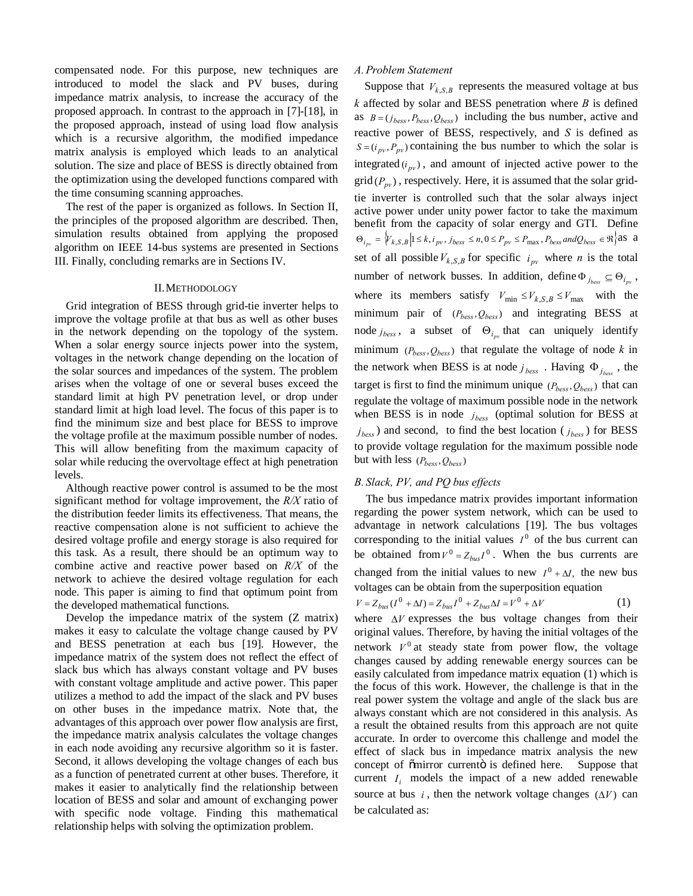compensated node. For this purpose, new techniques are introduced to model the slack and PV buses, during impedance matrix analysis, to increase the accuracy of the proposed approach. In contrast to the approach in [7]-[18], in the proposed approach, instead of using load flow analysis which is a recursive algorithm, the modified impedance matrix analysis is employed which leads to an analytical solution. The size and place of BESS is directly obtained from the optimization using the developed functions compared with the time consuming scanning approaches.

The rest of the paper is organized as follows. In Section II, the principles of the proposed algorithm are described. Then, simulation results obtained from applying the proposed algorithm on IEEE 14-bus systems are presented in Sections III. Finally, concluding remarks are in Sections IV.

## II.METHODOLOGY

Grid integration of BESS through grid-tie inverter helps to improve the voltage profile at that bus as well as other buses in the network depending on the topology of the system. When a solar energy source injects power into the system, voltages in the network change depending on the location of the solar sources and impedances of the system. The problem arises when the voltage of one or several buses exceed the standard limit at high PV penetration level, or drop under standard limit at high load level. The focus of this paper is to find the minimum size and best place for BESS to improve the voltage profile at the maximum possible number of nodes. This will allow benefiting from the maximum capacity of solar while reducing the overvoltage effect at high penetration levels.

Although reactive power control is assumed to be the most significant method for voltage improvement, the *R/X* ratio of the distribution feeder limits its effectiveness. That means, the reactive compensation alone is not sufficient to achieve the desired voltage profile and energy storage is also required for this task. As a result, there should be an optimum way to combine active and reactive power based on *R/X* of the network to achieve the desired voltage regulation for each node. This paper is aiming to find that optimum point from the developed mathematical functions.

Develop the impedance matrix of the system (Z matrix) makes it easy to calculate the voltage change caused by PV and BESS penetration at each bus [19]. However, the impedance matrix of the system does not reflect the effect of slack bus which has always constant voltage and PV buses with constant voltage amplitude and active power. This paper utilizes a method to add the impact of the slack and PV buses on other buses in the impedance matrix. Note that, the advantages of this approach over power flow analysis are first, the impedance matrix analysis calculates the voltage changes in each node avoiding any recursive algorithm so it is faster. Second, it allows developing the voltage changes of each bus as a function of penetrated current at other buses. Therefore, it makes it easier to analytically find the relationship between location of BESS and solar and amount of exchanging power with specific node voltage. Finding this mathematical relationship helps with solving the optimization problem.

# *A.Problem Statement*

Suppose that  $V_{k,S,B}$  represents the measured voltage at bus *k* affected by solar and BESS penetration where *B* is defined as  $B = (j_{bess}, P_{bess}, Q_{bess})$  including the bus number, active and reactive power of BESS, respectively, and *S* is defined as  $S = (i_{pv}, P_{pv})$  containing the bus number to which the solar is integrated  $(i_{pv})$ , and amount of injected active power to the  $\text{grid}(P_{nv})$ , respectively. Here, it is assumed that the solar gridtie inverter is controlled such that the solar always inject active power under unity power factor to take the maximum benefit from the capacity of solar energy and GTI. Define  $\Theta_{i_{pv}} = \{V_{k,S,B} | 1 \leq k, i_{pv}, j_{bess} \leq n, 0 \leq P_{pv} \leq P_{\text{max}}, P_{bess} \text{ and } Q_{bess} \in \Re \}$  as a set of all possible  $V_{k,S,B}$  for specific  $i_{pv}$  where *n* is the total number of network busses. In addition, define  $\Phi_{j_{\text{bess}}} \subseteq \Theta_{i_{\text{pv}}}$ , where its members satisfy  $V_{\text{min}} \leq V_{k,S,B} \leq V_{\text{max}}$  with the minimum pair of  $(P_{\text{hess}}, Q_{\text{hess}})$  and integrating BESS at node  $j_{bess}$ , a subset of  $\Theta_{i_m}$  that can uniquely identify minimum  $(P_{bess}, Q_{bess})$  that regulate the voltage of node *k* in the network when BESS is at node  $j_{\text{bess}}$  . Having  $\Phi_{j_{\text{bess}}}$ , the target is first to find the minimum unique  $(P_{bess}, Q_{bess})$  that can regulate the voltage of maximum possible node in the network when BESS is in node  $j_{bess}$  (optimal solution for BESS at  $j_{bess}$ ) and second, to find the best location ( $j_{bess}$ ) for BESS to provide voltage regulation for the maximum possible node but with less  $(P_{bess}, Q_{bess})$ 

# *B. Slack, PV, and PQ bus effects*

The bus impedance matrix provides important information regarding the power system network, which can be used to advantage in network calculations [19]. The bus voltages corresponding to the initial values  $I^0$  of the bus current can be obtained from  $V^0 = Z_{bus}I^0$ . When the bus currents are changed from the initial values to new  $I^0 + \Delta I$ , the new bus voltages can be obtain from the superposition equation

$$
V = Z_{bus}(I^0 + \Delta I) = Z_{bus}I^0 + Z_{bus}\Delta I = V^0 + \Delta V
$$
 (1)

where  $\Delta V$  expresses the bus voltage changes from their original values. Therefore, by having the initial voltages of the network  $V^0$  at steady state from power flow, the voltage changes caused by adding renewable energy sources can be easily calculated from impedance matrix equation (1) which is the focus of this work. However, the challenge is that in the real power system the voltage and angle of the slack bus are always constant which are not considered in this analysis. As a result the obtained results from this approach are not quite accurate. In order to overcome this challenge and model the effect of slack bus in impedance matrix analysis the new concept of  $\tilde{c}$  mirror currento is defined here. Suppose that current  $I_i$  models the impact of a new added renewable source at bus *i*, then the network voltage changes  $(\Delta V)$  can be calculated as: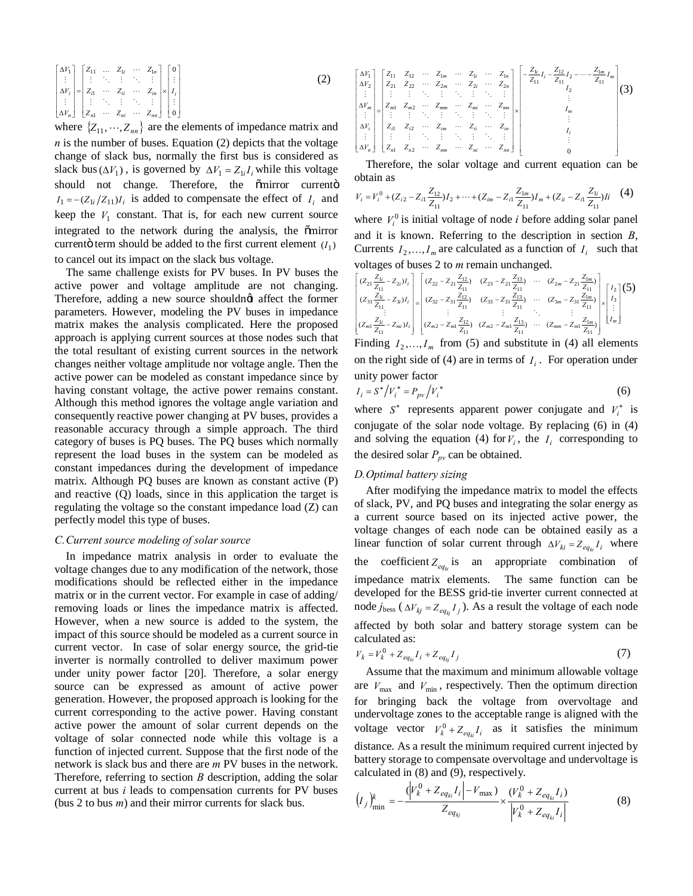$$
\begin{bmatrix}\n\Delta V_1 \\
\vdots \\
\Delta V_i \\
\vdots \\
\Delta V_n\n\end{bmatrix}\n=\n\begin{bmatrix}\nZ_{11} & \dots & Z_{1i} & \dots & Z_{1n} \\
\vdots & \ddots & \vdots & \ddots & \vdots \\
Z_{i1} & \dots & Z_{ii} & \dots & Z_{in} \\
\vdots & \ddots & \vdots & \ddots & \vdots \\
Z_{m1} & \dots & Z_{mi} & \dots & Z_{mn}\n\end{bmatrix}\n\times\n\begin{bmatrix}\n0 \\
\vdots \\
I_i \\
\vdots \\
0\n\end{bmatrix}
$$
\n(2)

where  $\{Z_{11},\dots,Z_{nn}\}$  are the elements of impedance matrix and  $n$  is the number of buses. Equation (2) depicts that the voltage change of slack bus, normally the first bus is considered as slack bus  $(\Delta V_1)$ , is governed by  $\Delta V_1 = Z_{1i} I_i$  while this voltage should not change. Therefore, the õmirror currentö  $I_1 = -(Z_{1i}/Z_{11})I_i$  is added to compensate the effect of  $I_i$  and keep the  $V_1$  constant. That is, for each new current source integrated to the network during the analysis, the omirror current term should be added to the first current element  $(I_1)$ to cancel out its impact on the slack bus voltage.

The same challenge exists for PV buses. In PV buses the active power and voltage amplitude are not changing. Therefore, adding a new source shouldngt affect the former parameters. However, modeling the PV buses in impedance matrix makes the analysis complicated. Here the proposed approach is applying current sources at those nodes such that the total resultant of existing current sources in the network changes neither voltage amplitude nor voltage angle. Then the active power can be modeled as constant impedance since by having constant voltage, the active power remains constant. Although this method ignores the voltage angle variation and consequently reactive power changing at PV buses, provides a reasonable accuracy through a simple approach. The third category of buses is PQ buses. The PQ buses which normally represent the load buses in the system can be modeled as constant impedances during the development of impedance matrix. Although PQ buses are known as constant active (P) and reactive (Q) loads, since in this application the target is regulating the voltage so the constant impedance load (Z) can perfectly model this type of buses.

# *C.Current source modeling of solar source*

In impedance matrix analysis in order to evaluate the voltage changes due to any modification of the network, those modifications should be reflected either in the impedance matrix or in the current vector. For example in case of adding/ removing loads or lines the impedance matrix is affected. However, when a new source is added to the system, the impact of this source should be modeled as a current source in current vector. In case of solar energy source, the grid-tie inverter is normally controlled to deliver maximum power under unity power factor [20]. Therefore, a solar energy source can be expressed as amount of active power generation. However, the proposed approach is looking for the current corresponding to the active power. Having constant active power the amount of solar current depends on the voltage of solar connected node while this voltage is a function of injected current. Suppose that the first node of the network is slack bus and there are *m* PV buses in the network. Therefore, referring to section *B* description, adding the solar current at bus *i* leads to compensation currents for PV buses (bus 2 to bus *m*) and their mirror currents for slack bus.

$$
\begin{bmatrix}\n\Delta V_1 \\
\Delta V_2 \\
\vdots \\
\Delta V_m \\
\vdots \\
\Delta V_n\n\end{bmatrix}\n=\n\begin{bmatrix}\nZ_{11} & Z_{12} & \cdots & Z_{1m} & \cdots & Z_{1i} & \cdots & Z_{1n} \\
Z_{21} & Z_{22} & \cdots & Z_{2m} & \cdots & Z_{2i} & \cdots & Z_{2n} \\
\vdots & \vdots & \vdots & \ddots & \vdots & \vdots & \ddots & \vdots \\
Z_{m1} & Z_{m2} & \cdots & Z_{mn} & \cdots & Z_{mn} & \cdots & Z_{mn} \\
\vdots & \vdots & \vdots & \ddots & \vdots & \ddots & \vdots & \ddots & \vdots \\
Z_{n1} & Z_{n2} & \cdots & Z_{mn} & \cdots & Z_{n} & \cdots & Z_{nn} \\
\vdots & \vdots & \vdots & \ddots & \vdots & \ddots & \vdots & \ddots & \vdots \\
Z_{n1} & Z_{n2} & \cdots & Z_{nn} & \cdots & Z_{n} & \cdots & Z_{n} & \cdots \\
\vdots & \vdots & \vdots & \ddots & \vdots & \ddots & \vdots & \ddots & \vdots \\
\Delta V_n\n\end{bmatrix}\n\begin{bmatrix}\nZ_{11} & Z_{12} & \cdots & Z_{12} & \cdots & Z_{1n} \\
Z_{12} & Z_{13} & Z_{12} & \cdots & Z_{1n} & \cdots & Z_{1n} \\
\vdots & \vdots & \ddots & \vdots & \ddots & \vdots \\
Z_{1n} & Z_{n1} & Z_{n2} & \cdots & Z_{nn} & \cdots & Z_{nn}\n\end{bmatrix}\n\begin{bmatrix}\nZ_{11} & Z_1 & Z_2 & \cdots & Z_{1m} \\
\vdots & \vdots & \ddots & \vdots & \ddots & \vdots \\
Z_{1n} & Z_{1n} & Z_{1n} & Z_{1n} & \cdots & Z_{1n} & \cdots & Z_{1n} \\
\vdots & \vdots & \ddots & \vdots & \ddots & \vdots \\
Z_{1n} & Z_{1n} & Z_{1n} & Z_{1n} & \cdots & Z_{nn} & \cdots & Z_{nn}\n\end{bmatrix}\n\begin{bmatrix}\nZ_{12} & Z_1 & Z_2 & \cdots & Z_{1m} \\
\vdots
$$

Therefore, the solar voltage and current equation can be obtain as

$$
V_i = V_i^0 + (Z_{i2} - Z_{i1} \frac{Z_{12}}{Z_{11}})I_2 + \dots + (Z_{im} - Z_{i1} \frac{Z_{1m}}{Z_{11}})I_m + (Z_{ii} - Z_{i1} \frac{Z_{1i}}{Z_{11}})I_i \tag{4}
$$

where  $V_i^0$  is initial voltage of node *i* before adding solar panel and it is known. Referring to the description in section *B*, Currents  $I_2, \ldots, I_m$  are calculated as a function of  $I_i$  such that voltages of buses 2 to *m* remain unchanged.

$$
\begin{bmatrix} (z_{21} \frac{Z_{1i}}{Z_{11}} - Z_{2i})I_i \\ (z_{31} \frac{Z_{1i}}{Z_{11}} - Z_{3i})I_i \\ \vdots \\ (z_{m1} \frac{Z_{1i}}{Z_{11}} - Z_{mi})I_i \end{bmatrix} = \begin{bmatrix} (z_{22} - z_{21} \frac{Z_{12}}{Z_{11}}) & (z_{23} - z_{21} \frac{Z_{13}}{Z_{11}}) & \cdots & (z_{2m} - z_{21} \frac{Z_{1m}}{Z_{11}}) \\ (z_{32} - z_{31} \frac{Z_{12}}{Z_{11}}) & (z_{33} - z_{31} \frac{Z_{13}}{Z_{11}}) & \cdots & (z_{3m} - z_{31} \frac{Z_{1m}}{Z_{11}}) \\ \vdots & \vdots & \ddots & \vdots \\ (z_{m1} \frac{Z_{1i}}{Z_{11}} - Z_{mi})I_i \end{bmatrix} \begin{bmatrix} I_2 \\ I_3 \\ \vdots \\ I_m \end{bmatrix} (S)
$$

Finding  $I_2, ..., I_m$  from (5) and substitute in (4) all elements on the right side of (4) are in terms of  $I_i$ . For operation under unity power factor

$$
I_i = S^* / V_i^* = P_{pv} / V_i^* \tag{6}
$$

where  $S^*$  represents apparent power conjugate and  $V_i^*$  is conjugate of the solar node voltage. By replacing (6) in (4) and solving the equation (4) for  $V_i$ , the  $I_i$  corresponding to the desired solar  $P_{pv}$  can be obtained.

# *D.Optimal battery sizing*

After modifying the impedance matrix to model the effects of slack, PV, and PQ buses and integrating the solar energy as a current source based on its injected active power, the voltage changes of each node can be obtained easily as a linear function of solar current through  $\Delta V_{ki} = Z_{eq_{ki}} I_i$  where the coefficient  $Z_{eqk}$  is an appropriate combination of impedance matrix elements. The same function can be developed for the BESS grid-tie inverter current connected at node  $j_{\text{bess}}$  ( $\Delta V_{kj} = Z_{eq_{ki}} I_j$ ). As a result the voltage of each node affected by both solar and battery storage system can be calculated as:

$$
V_k = V_k^0 + Z_{eq_{ki}} I_i + Z_{eq_{kj}} I_j \tag{7}
$$

Assume that the maximum and minimum allowable voltage are  $V_{\text{max}}$  and  $V_{\text{min}}$ , respectively. Then the optimum direction for bringing back the voltage from overvoltage and undervoltage zones to the acceptable range is aligned with the voltage vector  $V_k^0 + Z_{ea_k}I_i$  as it satisfies the minimum distance. As a result the minimum required current injected by battery storage to compensate overvoltage and undervoltage is calculated in (8) and (9), respectively.

$$
\left(I_j\right)_{\min}^k = -\frac{\left(\left|V_k^0 + Z_{eq_{ki}}I_i\right| - V_{\max}\right)}{Z_{eq_{kj}}} \times \frac{\left(V_k^0 + Z_{eq_{ki}}I_i\right)}{\left|V_k^0 + Z_{eq_{ki}}I_i\right|} \tag{8}
$$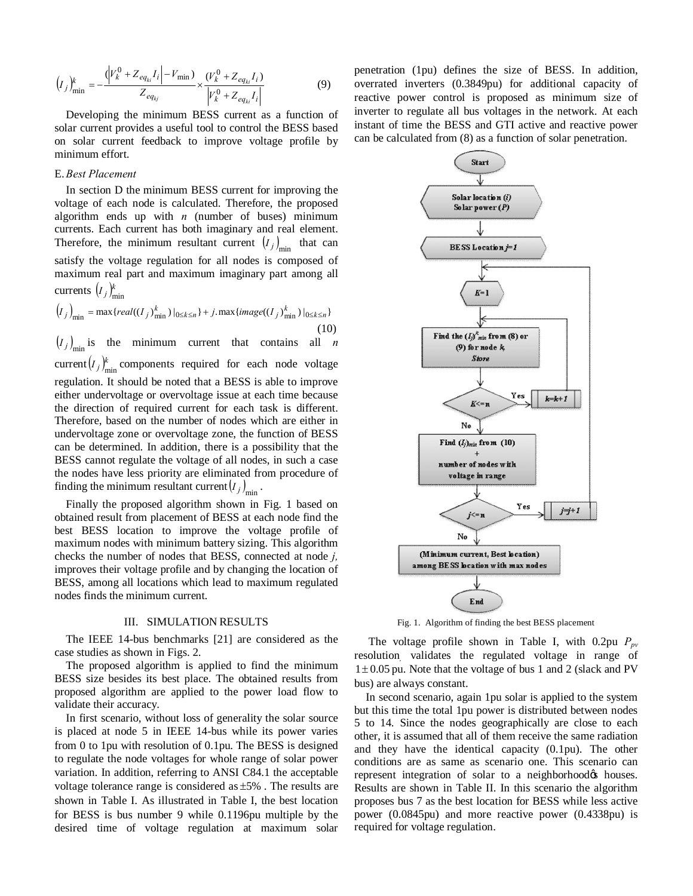$$
\left(I_j\right)_{\min}^k = -\frac{\left(\left|V_k^0 + Z_{eq_{ki}}I_i\right| - V_{\min}\right)}{Z_{eq_{kj}}} \times \frac{\left(V_k^0 + Z_{eq_{ki}}I_i\right)}{\left|V_k^0 + Z_{eq_{ki}}I_i\right|} \tag{9}
$$

Developing the minimum BESS current as a function of solar current provides a useful tool to control the BESS based on solar current feedback to improve voltage profile by minimum effort.

# E.*Best Placement*

In section D the minimum BESS current for improving the voltage of each node is calculated. Therefore, the proposed algorithm ends up with *n* (number of buses) minimum currents. Each current has both imaginary and real element. Therefore, the minimum resultant current  $(I_j)_{\text{min}}$  that can satisfy the voltage regulation for all nodes is composed of maximum real part and maximum imaginary part among all currents  $(I_j)_{\min}^k$ 

$$
(I_j)_{\min} = \max\{real((I_j)_{\min}^k)|_{0 \le k \le n}\} + j.\max\{image((I_j)_{\min}^k)|_{0 \le k \le n}\}\tag{10}
$$

 $(I_j)_{\text{min}}$  is the minimum current that contains all *n* current $(I_j)_{\text{min}}^k$  components required for each node voltage regulation. It should be noted that a BESS is able to improve either undervoltage or overvoltage issue at each time because the direction of required current for each task is different. Therefore, based on the number of nodes which are either in undervoltage zone or overvoltage zone, the function of BESS can be determined. In addition, there is a possibility that the BESS cannot regulate the voltage of all nodes, in such a case the nodes have less priority are eliminated from procedure of finding the minimum resultant current  $(I_j)_{\text{min}}$ .

Finally the proposed algorithm shown in Fig. 1 based on obtained result from placement of BESS at each node find the best BESS location to improve the voltage profile of maximum nodes with minimum battery sizing. This algorithm checks the number of nodes that BESS, connected at node *j,* improves their voltage profile and by changing the location of BESS, among all locations which lead to maximum regulated nodes finds the minimum current.

#### III. SIMULATION RESULTS

The IEEE 14-bus benchmarks [21] are considered as the case studies as shown in Figs. 2.

The proposed algorithm is applied to find the minimum BESS size besides its best place. The obtained results from proposed algorithm are applied to the power load flow to validate their accuracy.

In first scenario, without loss of generality the solar source is placed at node 5 in IEEE 14-bus while its power varies from 0 to 1pu with resolution of 0.1pu. The BESS is designed to regulate the node voltages for whole range of solar power variation. In addition, referring to ANSI C84.1 the acceptable voltage tolerance range is considered as ±5% . The results are shown in Table I. As illustrated in Table I, the best location for BESS is bus number 9 while 0.1196pu multiple by the desired time of voltage regulation at maximum solar

penetration (1pu) defines the size of BESS. In addition, overrated inverters (0.3849pu) for additional capacity of reactive power control is proposed as minimum size of inverter to regulate all bus voltages in the network. At each instant of time the BESS and GTI active and reactive power can be calculated from (8) as a function of solar penetration.



Fig. 1. Algorithm of finding the best BESS placement

The voltage profile shown in Table I, with 0.2pu  $P_{pv}$ resolution*,* validates the regulated voltage in range of  $1 \pm 0.05$  pu. Note that the voltage of bus 1 and 2 (slack and PV bus) are always constant.

In second scenario, again 1pu solar is applied to the system but this time the total 1pu power is distributed between nodes 5 to 14. Since the nodes geographically are close to each other, it is assumed that all of them receive the same radiation and they have the identical capacity (0.1pu). The other conditions are as same as scenario one. This scenario can represent integration of solar to a neighborhood to houses. Results are shown in Table II. In this scenario the algorithm proposes bus 7 as the best location for BESS while less active power (0.0845pu) and more reactive power (0.4338pu) is required for voltage regulation.